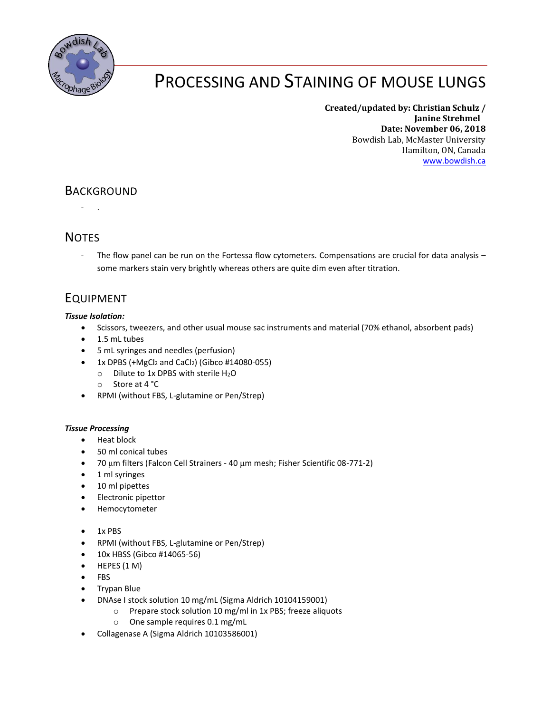

# PROCESSING AND STAINING OF MOUSE LUNGS

**Created/updated by: Christian Schulz / Janine Strehmel Date: November 06, 2018** Bowdish Lab, McMaster University Hamilton, ON, Canada [www.bowdish.ca](http://www.bowdish.ca/)

### BACKGROUND

- .

### **NOTES**

The flow panel can be run on the Fortessa flow cytometers. Compensations are crucial for data analysis some markers stain very brightly whereas others are quite dim even after titration.

## EQUIPMENT

#### *Tissue Isolation:*

- Scissors, tweezers, and other usual mouse sac instruments and material (70% ethanol, absorbent pads)
- 1.5 mL tubes
- 5 mL syringes and needles (perfusion)
- 1x DPBS  $(+MgCl<sub>2</sub>$  and CaCl<sub>2</sub>) (Gibco #14080-055)
	- $\circ$  Dilute to 1x DPBS with sterile H<sub>2</sub>O
	- o Store at 4 °C
- RPMI (without FBS, L-glutamine or Pen/Strep)

#### *Tissue Processing*

- Heat block
- 50 ml conical tubes
- 70 μm filters (Falcon Cell Strainers 40 μm mesh; Fisher Scientific 08-771-2)
- 1 ml syringes
- 10 ml pipettes
- Electronic pipettor
- Hemocytometer
- 1x PBS
- RPMI (without FBS, L-glutamine or Pen/Strep)
- 10x HBSS (Gibco #14065-56)
- $\bullet$  HEPES (1 M)
- FBS
- Trypan Blue
- DNAse I stock solution 10 mg/mL (Sigma Aldrich 10104159001)
	- o Prepare stock solution 10 mg/ml in 1x PBS; freeze aliquots
	- o One sample requires 0.1 mg/mL
- Collagenase A (Sigma Aldrich 10103586001)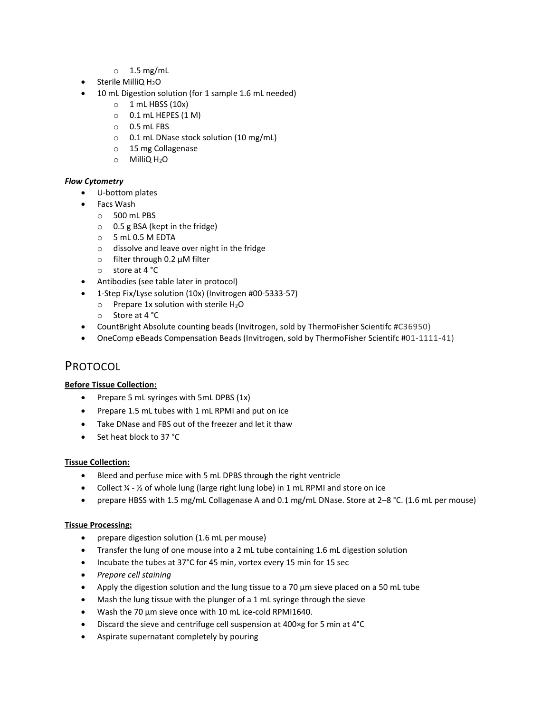- $\circ$  1.5 mg/mL
- Sterile MilliQ H<sub>2</sub>O
- 10 mL Digestion solution (for 1 sample 1.6 mL needed)
	- $\circ$  1 mL HBSS (10x)
	- $\circ$  0.1 mL HEPES (1 M)
	- o 0.5 mL FBS
	- o 0.1 mL DNase stock solution (10 mg/mL)
	- o 15 mg Collagenase
	- o MilliQ H2O

#### *Flow Cytometry*

- U-bottom plates
- Facs Wash
	- o 500 mL PBS
	- o 0.5 g BSA (kept in the fridge)
	- o 5 mL 0.5 M EDTA
	- o dissolve and leave over night in the fridge
	- o filter through 0.2 µM filter
	- o store at 4 °C
- Antibodies (see table later in protocol)
- 1-Step Fix/Lyse solution (10x) (Invitrogen #00-5333-57)
	- $\circ$  Prepare 1x solution with sterile H<sub>2</sub>O
	- o Store at 4 °C
- CountBright Absolute counting beads (Invitrogen, sold by ThermoFisher Scientifc #C36950)
- OneComp eBeads Compensation Beads (Invitrogen, sold by ThermoFisher Scientifc #01-1111-41)

### PROTOCOL

#### **Before Tissue Collection:**

- Prepare 5 mL syringes with 5mL DPBS (1x)
- Prepare 1.5 mL tubes with 1 mL RPMI and put on ice
- Take DNase and FBS out of the freezer and let it thaw
- Set heat block to 37 °C

#### **Tissue Collection:**

- Bleed and perfuse mice with 5 mL DPBS through the right ventricle
- Collect  $\frac{1}{4}$   $\frac{1}{2}$  of whole lung (large right lung lobe) in 1 mL RPMI and store on ice
- prepare HBSS with 1.5 mg/mL Collagenase A and 0.1 mg/mL DNase. Store at 2–8 °C. (1.6 mL per mouse)

#### **Tissue Processing:**

- prepare digestion solution (1.6 mL per mouse)
- Transfer the lung of one mouse into a 2 mL tube containing 1.6 mL digestion solution
- Incubate the tubes at 37°C for 45 min, vortex every 15 min for 15 sec
- *Prepare cell staining*
- Apply the digestion solution and the lung tissue to a 70 μm sieve placed on a 50 mL tube
- Mash the lung tissue with the plunger of a 1 mL syringe through the sieve
- Wash the 70 μm sieve once with 10 mL ice-cold RPMI1640.
- Discard the sieve and centrifuge cell suspension at 400×g for 5 min at 4°C
- Aspirate supernatant completely by pouring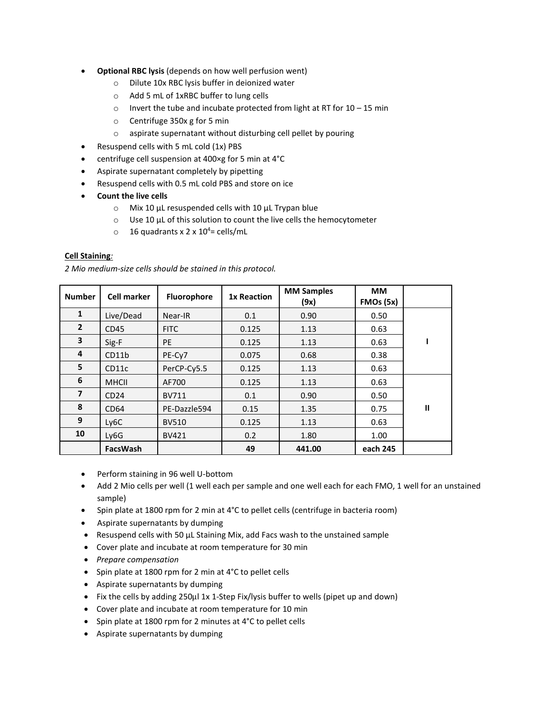- **Optional RBC lysis** (depends on how well perfusion went)
	- o Dilute 10x RBC lysis buffer in deionized water
	- o Add 5 mL of 1xRBC buffer to lung cells
	- $\circ$  Invert the tube and incubate protected from light at RT for 10 15 min
	- o Centrifuge 350x g for 5 min
	- o aspirate supernatant without disturbing cell pellet by pouring
- Resuspend cells with 5 mL cold (1x) PBS
- centrifuge cell suspension at 400×g for 5 min at 4°C
- Aspirate supernatant completely by pipetting
- Resuspend cells with 0.5 mL cold PBS and store on ice
- **Count the live cells** 
	- o Mix 10 µL resuspended cells with 10 µL Trypan blue
	- $\circ$  Use 10 µL of this solution to count the live cells the hemocytometer
	- $\circ$  16 quadrants x 2 x 10<sup>4</sup>= cells/mL

#### **Cell Staining***:*

*2 Mio medium-size cells should be stained in this protocol.*

| <b>Number</b>  | <b>Cell marker</b> | Fluorophore  | <b>1x Reaction</b> | <b>MM Samples</b><br>(9x) | <b>MM</b><br>FMOs (5x) |              |
|----------------|--------------------|--------------|--------------------|---------------------------|------------------------|--------------|
| $\mathbf{1}$   | Live/Dead          | Near-IR      | 0.1                | 0.90                      | 0.50                   |              |
| $\overline{2}$ | CD45               | <b>FITC</b>  | 0.125              | 1.13                      | 0.63                   |              |
| 3              | Sig-F              | PE           | 0.125              | 1.13                      | 0.63                   |              |
| 4              | CD11b              | PE-Cy7       | 0.075              | 0.68                      | 0.38                   |              |
| 5              | CD11c              | PerCP-Cy5.5  | 0.125              | 1.13                      | 0.63                   |              |
| 6              | <b>MHCII</b>       | AF700        | 0.125              | 1.13                      | 0.63                   |              |
| $\overline{7}$ | CD24               | <b>BV711</b> | 0.1                | 0.90                      | 0.50                   |              |
| 8              | CD64               | PE-Dazzle594 | 0.15               | 1.35                      | 0.75                   | $\mathbf{I}$ |
| 9              | Ly <sub>6</sub> C  | <b>BV510</b> | 0.125              | 1.13                      | 0.63                   |              |
| 10             | Ly6G               | <b>BV421</b> | 0.2                | 1.80                      | 1.00                   |              |
|                | <b>FacsWash</b>    |              | 49                 | 441.00                    | each 245               |              |

- Perform staining in 96 well U-bottom
- Add 2 Mio cells per well (1 well each per sample and one well each for each FMO, 1 well for an unstained sample)
- Spin plate at 1800 rpm for 2 min at 4°C to pellet cells (centrifuge in bacteria room)
- Aspirate supernatants by dumping
- Resuspend cells with 50 µL Staining Mix, add Facs wash to the unstained sample
- Cover plate and incubate at room temperature for 30 min
- *Prepare compensation*
- Spin plate at 1800 rpm for 2 min at 4°C to pellet cells
- Aspirate supernatants by dumping
- Fix the cells by adding 250µl 1x 1-Step Fix/lysis buffer to wells (pipet up and down)
- Cover plate and incubate at room temperature for 10 min
- Spin plate at 1800 rpm for 2 minutes at 4°C to pellet cells
- Aspirate supernatants by dumping